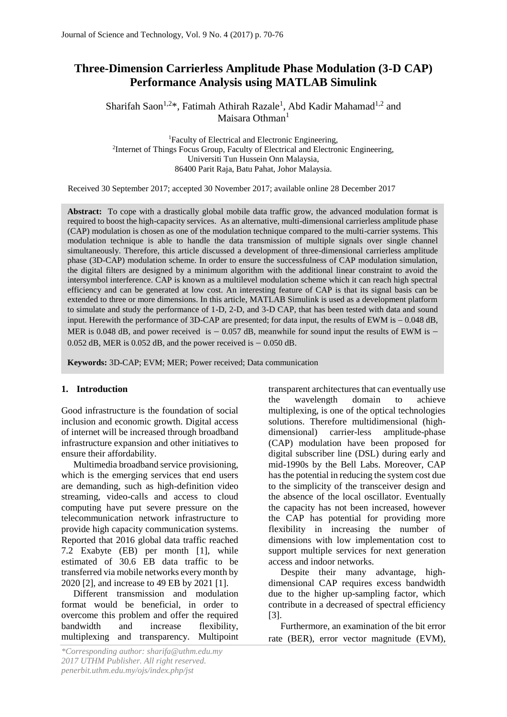# **Three-Dimension Carrierless Amplitude Phase Modulation (3-D CAP) Performance Analysis using MATLAB Simulink**

Sharifah Saon<sup>1,2\*</sup>, Fatimah Athirah Razale<sup>1</sup>, Abd Kadir Mahamad<sup>1,2</sup> and Maisara Othman<sup>1</sup>

<sup>1</sup>Faculty of Electrical and Electronic Engineering, <sup>2</sup>Internet of Things Focus Group, Faculty of Electrical and Electronic Engineering, Universiti Tun Hussein Onn Malaysia, 86400 Parit Raja, Batu Pahat, Johor Malaysia.

Received 30 September 2017; accepted 30 November 2017; available online 28 December 2017

**Abstract:** To cope with a drastically global mobile data traffic grow, the advanced modulation format is required to boost the high-capacity services. As an alternative, multi-dimensional carrierless amplitude phase (CAP) modulation is chosen as one of the modulation technique compared to the multi-carrier systems. This modulation technique is able to handle the data transmission of multiple signals over single channel simultaneously. Therefore, this article discussed a development of three-dimensional carrierless amplitude phase (3D-CAP) modulation scheme. In order to ensure the successfulness of CAP modulation simulation, the digital filters are designed by a minimum algorithm with the additional linear constraint to avoid the intersymbol interference. CAP is known as a multilevel modulation scheme which it can reach high spectral efficiency and can be generated at low cost. An interesting feature of CAP is that its signal basis can be extended to three or more dimensions. In this article, MATLAB Simulink is used as a development platform to simulate and study the performance of 1-D, 2-D, and 3-D CAP, that has been tested with data and sound input. Herewith the performance of 3D-CAP are presented; for data input, the results of EWM is  $-0.048$  dB, MER is 0.048 dB, and power received is  $-$  0.057 dB, meanwhile for sound input the results of EWM is  $-$ 0.052 dB, MER is 0.052 dB, and the power received is  $-$  0.050 dB.

**Keywords:** 3D-CAP; EVM; MER; Power received; Data communication

# **1. Introduction**

Good infrastructure is the foundation of social inclusion and economic growth. Digital access of internet will be increased through broadband infrastructure expansion and other initiatives to ensure their affordability.

Multimedia broadband service provisioning, which is the emerging services that end users are demanding, such as high-definition video streaming, video-calls and access to cloud computing have put severe pressure on the telecommunication network infrastructure to provide high capacity communication systems. Reported that 2016 global data traffic reached 7.2 Exabyte (EB) per month [1], while estimated of 30.6 EB data traffic to be transferred via mobile networks every month by 2020 [2], and increase to 49 EB by 2021 [1].

Different transmission and modulation format would be beneficial, in order to overcome this problem and offer the required bandwidth and increase flexibility, multiplexing and transparency. Multipoint transparent architectures that can eventually use the wavelength domain to achieve multiplexing, is one of the optical technologies solutions. Therefore multidimensional (highdimensional) carrier-less amplitude-phase (CAP) modulation have been proposed for digital subscriber line (DSL) during early and mid-1990s by the Bell Labs. Moreover, CAP has the potential in reducing the system cost due to the simplicity of the transceiver design and the absence of the local oscillator. Eventually the capacity has not been increased, however the CAP has potential for providing more flexibility in increasing the number of dimensions with low implementation cost to support multiple services for next generation access and indoor networks.

Despite their many advantage, highdimensional CAP requires excess bandwidth due to the higher up-sampling factor, which contribute in a decreased of spectral efficiency [3].

Furthermore, an examination of the bit error rate (BER), error vector magnitude (EVM),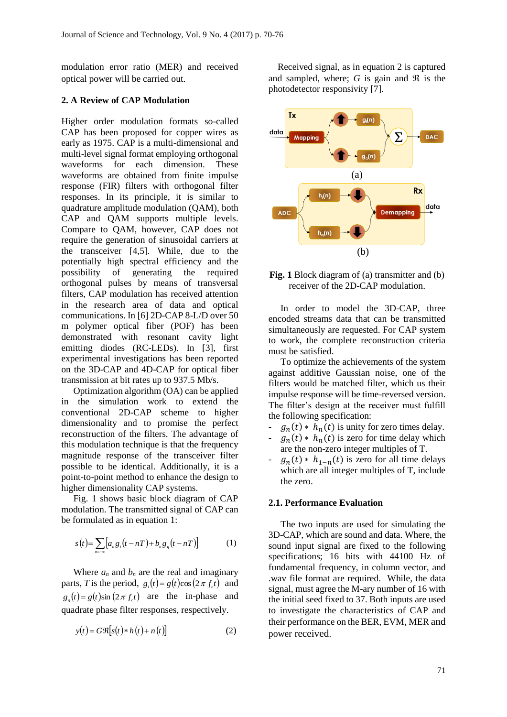modulation error ratio (MER) and received optical power will be carried out.

#### **2. A Review of CAP Modulation**

Higher order modulation formats so-called CAP has been proposed for copper wires as early as 1975. CAP is a multi-dimensional and multi-level signal format employing orthogonal waveforms for each dimension. These waveforms are obtained from finite impulse response (FIR) filters with orthogonal filter responses. In its principle, it is similar to quadrature amplitude modulation (QAM), both CAP and QAM supports multiple levels. Compare to QAM, however, CAP does not require the generation of sinusoidal carriers at the transceiver [4,5]. While, due to the potentially high spectral efficiency and the possibility of generating the required orthogonal pulses by means of transversal filters, CAP modulation has received attention in the research area of data and optical communications. In [6] 2D-CAP 8-L/D over 50 m polymer optical fiber (POF) has been demonstrated with resonant cavity light emitting diodes (RC-LEDs). In [3], first experimental investigations has been reported on the 3D-CAP and 4D-CAP for optical fiber transmission at bit rates up to 937.5 Mb/s.

Optimization algorithm (OA) can be applied in the simulation work to extend the conventional 2D-CAP scheme to higher dimensionality and to promise the perfect reconstruction of the filters. The advantage of this modulation technique is that the frequency magnitude response of the transceiver filter possible to be identical. Additionally, it is a point-to-point method to enhance the design to higher dimensionality CAP systems.

Fig. 1 shows basic block diagram of CAP modulation. The transmitted signal of CAP can be formulated as in equation 1:

$$
s(t) = \sum_{n=-\infty} \left[ a_n g_i \left( t - nT \right) + b_n g_q \left( t - nT \right) \right] \tag{1}
$$

Where  $a_n$  and  $b_n$  are the real and imaginary parts, *T* is the period,  $g_i(t) = g(t)\cos(2\pi f_c t)$  and  $g_q(t) = g(t) \sin(2\pi f_c t)$  are the in-phase and quadrate phase filter responses, respectively.

$$
y(t) = G\Re[s(t) * h(t) + n(t)]
$$
 (2)

Received signal, as in equation 2 is captured and sampled, where;  $G$  is gain and  $\Re$  is the photodetector responsivity [7].



**Fig. 1** Block diagram of (a) transmitter and (b) receiver of the 2D-CAP modulation.

In order to model the 3D-CAP, three encoded streams data that can be transmitted simultaneously are requested. For CAP system to work, the complete reconstruction criteria must be satisfied.

To optimize the achievements of the system against additive Gaussian noise, one of the filters would be matched filter, which us their impulse response will be time-reversed version. The filter's design at the receiver must fulfill the following specification:

- $g_n(t) * h_n(t)$  is unity for zero times delay.
- $g_n(t) * h_n(t)$  is zero for time delay which are the non-zero integer multiples of T.
- $g_n(t) * h_{1-n}(t)$  is zero for all time delays which are all integer multiples of T, include the zero.

## **2.1. Performance Evaluation**

The two inputs are used for simulating the 3D-CAP, which are sound and data. Where, the sound input signal are fixed to the following specifications; 16 bits with 44100 Hz of fundamental frequency, in column vector, and .wav file format are required. While, the data signal, must agree the M-ary number of 16 with the initial seed fixed to 37. Both inputs are used to investigate the characteristics of CAP and their performance on the BER, EVM, MER and power received.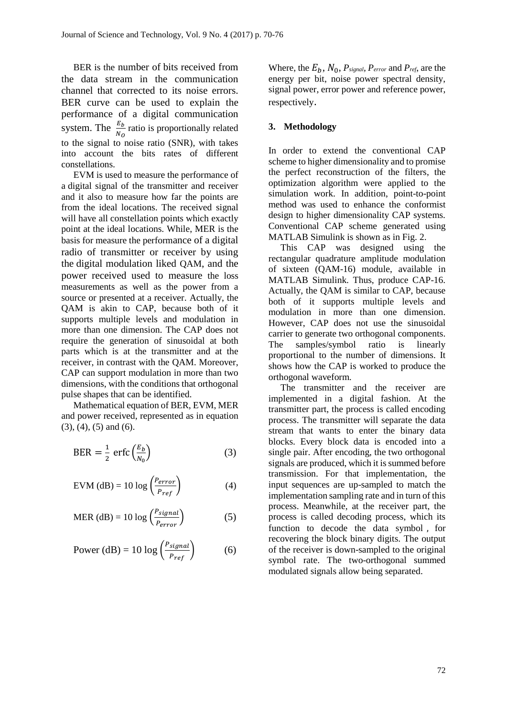BER is the number of bits received from the data stream in the communication channel that corrected to its noise errors. BER curve can be used to explain the performance of a digital communication system. The  $\frac{E_b}{N_O}$  ratio is proportionally related to the signal to noise ratio (SNR), with takes into account the bits rates of different constellations.

EVM is used to measure the performance of a digital signal of the transmitter and receiver and it also to measure how far the points are from the ideal locations. The received signal will have all constellation points which exactly point at the ideal locations. While, MER is the basis for measure the performance of a digital radio of transmitter or receiver by using the digital modulation liked QAM, and the power received used to measure the loss measurements as well as the power from a source or presented at a receiver. Actually, the QAM is akin to CAP, because both of it supports multiple levels and modulation in more than one dimension. The CAP does not require the generation of sinusoidal at both parts which is at the transmitter and at the receiver, in contrast with the QAM. Moreover, CAP can support modulation in more than two dimensions, with the conditions that orthogonal pulse shapes that can be identified.

Mathematical equation of BER, EVM, MER and power received, represented as in equation (3), (4), (5) and (6).

$$
BER = \frac{1}{2} \operatorname{erfc} \left( \frac{E_b}{N_0} \right) \tag{3}
$$

$$
EVM (dB) = 10 \log \left( \frac{P_{error}}{P_{ref}} \right) \tag{4}
$$

$$
\text{MER (dB)} = 10 \log \left( \frac{P_{signal}}{P_{error}} \right) \tag{5}
$$

Power (dB) = 10 log 
$$
\left(\frac{P_{signal}}{P_{ref}}\right)
$$
 (6)

Where, the  $E_b$ ,  $N_0$ ,  $P_{signal}$ ,  $P_{error}$  and  $P_{ref}$ , are the energy per bit, noise power spectral density, signal power, error power and reference power, respectively.

# **3. Methodology**

In order to extend the conventional CAP scheme to higher dimensionality and to promise the perfect reconstruction of the filters, the optimization algorithm were applied to the simulation work. In addition, point-to-point method was used to enhance the conformist design to higher dimensionality CAP systems. Conventional CAP scheme generated using MATLAB Simulink is shown as in Fig. 2.

This CAP was designed using the rectangular quadrature amplitude modulation of sixteen (QAM-16) module, available in MATLAB Simulink. Thus, produce CAP-16. Actually, the QAM is similar to CAP, because both of it supports multiple levels and modulation in more than one dimension. However, CAP does not use the sinusoidal carrier to generate two orthogonal components. The samples/symbol ratio is linearly proportional to the number of dimensions. It shows how the CAP is worked to produce the orthogonal waveform.

The transmitter and the receiver are implemented in a digital fashion. At the transmitter part, the process is called encoding process. The transmitter will separate the data stream that wants to enter the binary data blocks. Every block data is encoded into a single pair. After encoding, the two orthogonal signals are produced, which it is summed before transmission. For that implementation, the input sequences are up-sampled to match the implementation sampling rate and in turn of this process. Meanwhile, at the receiver part, the process is called decoding process, which its function to decode the data symbol , for recovering the block binary digits. The output of the receiver is down-sampled to the original symbol rate. The two-orthogonal summed modulated signals allow being separated.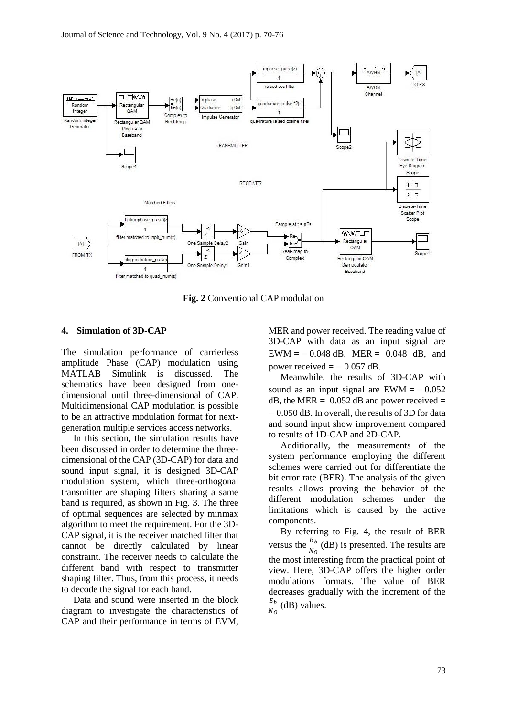

**Fig. 2** Conventional CAP modulation

## **4. Simulation of 3D-CAP**

The simulation performance of carrierless amplitude Phase (CAP) modulation using MATLAB Simulink is discussed. The schematics have been designed from onedimensional until three-dimensional of CAP. Multidimensional CAP modulation is possible to be an attractive modulation format for nextgeneration multiple services access networks.

In this section, the simulation results have been discussed in order to determine the threedimensional of the CAP (3D-CAP) for data and sound input signal, it is designed 3D-CAP modulation system, which three-orthogonal transmitter are shaping filters sharing a same band is required, as shown in Fig. 3. The three of optimal sequences are selected by minmax algorithm to meet the requirement. For the 3D-CAP signal, it is the receiver matched filter that cannot be directly calculated by linear constraint. The receiver needs to calculate the different band with respect to transmitter shaping filter. Thus, from this process, it needs to decode the signal for each band.

Data and sound were inserted in the block diagram to investigate the characteristics of CAP and their performance in terms of EVM,

MER and power received. The reading value of 3D-CAP with data as an input signal are  $EWM = -0.048$  dB, MER = 0.048 dB, and power received  $= -0.057$  dB.

Meanwhile, the results of 3D-CAP with sound as an input signal are  $EWM = -0.052$  $dB$ , the MER = 0.052 dB and power received = 0.050 dB. In overall, the results of 3D for data and sound input show improvement compared to results of 1D-CAP and 2D-CAP.

Additionally, the measurements of the system performance employing the different schemes were carried out for differentiate the bit error rate (BER). The analysis of the given results allows proving the behavior of the different modulation schemes under the limitations which is caused by the active components.

By referring to Fig. 4, the result of BER versus the  $\frac{E_b}{N_Q}$  (dB) is presented. The results are the most interesting from the practical point of view. Here, 3D-CAP offers the higher order modulations formats. The value of BER decreases gradually with the increment of the  $E_b$  $\frac{E_b}{N_O}$  (dB) values.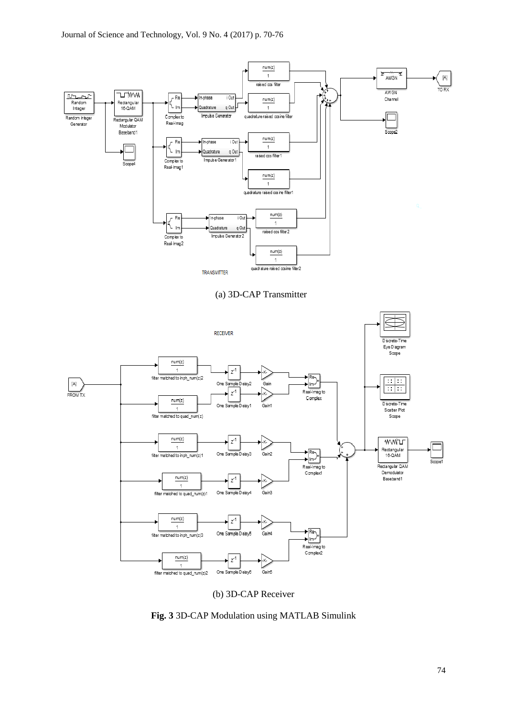

(b) 3D-CAP Receiver

**Fig. 3** 3D-CAP Modulation using MATLAB Simulink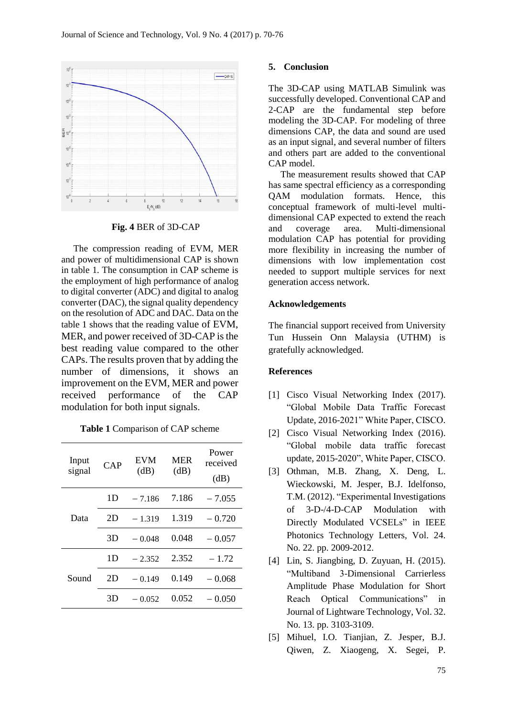

**Fig. 4** BER of 3D-CAP

The compression reading of EVM, MER and power of multidimensional CAP is shown in table 1. The consumption in CAP scheme is the employment of high performance of analog to digital converter (ADC) and digital to analog converter (DAC), the signal quality dependency on the resolution of ADC and DAC. Data on the table 1 shows that the reading value of EVM, MER, and power received of 3D-CAP is the best reading value compared to the other CAPs. The results proven that by adding the number of dimensions, it shows an improvement on the EVM, MER and power received performance of the CAP modulation for both input signals.

**Table 1** Comparison of CAP scheme

| Input<br>signal | CAP | EVM<br>(dB) | <b>MER</b><br>(dB) | Power<br>received<br>(dB) |
|-----------------|-----|-------------|--------------------|---------------------------|
| Data            | 1D  | $-7.186$    | 7.186              | $-7.055$                  |
|                 | 2D  | $-1.319$    | 1.319              | $-0.720$                  |
|                 | 3D  | $-0.048$    | 0.048              | $-0.057$                  |
| Sound           | 1D  | $-2.352$    | 2.352              | $-1.72$                   |
|                 | 2D  | $-0.149$    | 0.149              | $-0.068$                  |
|                 | 3D  | $-0.052$    | 0.052              | $-0.050$                  |

#### **5. Conclusion**

The 3D-CAP using MATLAB Simulink was successfully developed. Conventional CAP and 2-CAP are the fundamental step before modeling the 3D-CAP. For modeling of three dimensions CAP, the data and sound are used as an input signal, and several number of filters and others part are added to the conventional CAP model.

The measurement results showed that CAP has same spectral efficiency as a corresponding QAM modulation formats. Hence, this conceptual framework of multi-level multidimensional CAP expected to extend the reach and coverage area. Multi-dimensional modulation CAP has potential for providing more flexibility in increasing the number of dimensions with low implementation cost needed to support multiple services for next generation access network.

# **Acknowledgements**

The financial support received from University Tun Hussein Onn Malaysia (UTHM) is gratefully acknowledged.

#### **References**

- [1] Cisco Visual Networking Index (2017). "Global Mobile Data Traffic Forecast Update, 2016-2021" White Paper, CISCO.
- [2] Cisco Visual Networking Index (2016). "Global mobile data traffic forecast update, 2015-2020", White Paper, CISCO.
- [3] Othman, M.B. Zhang, X. Deng, L. Wieckowski, M. Jesper, B.J. Idelfonso, T.M. (2012). "Experimental Investigations of 3-D-/4-D-CAP Modulation with Directly Modulated VCSELs" in IEEE Photonics Technology Letters, Vol. 24. No. 22. pp. 2009-2012.
- [4] Lin, S. Jiangbing, D. Zuyuan, H. (2015). "Multiband 3-Dimensional Carrierless Amplitude Phase Modulation for Short Reach Optical Communications" in Journal of Lightware Technology, Vol. 32. No. 13. pp. 3103-3109.
- [5] Mihuel, I.O. Tianjian, Z. Jesper, B.J. Qiwen, Z. Xiaogeng, X. Segei, P.